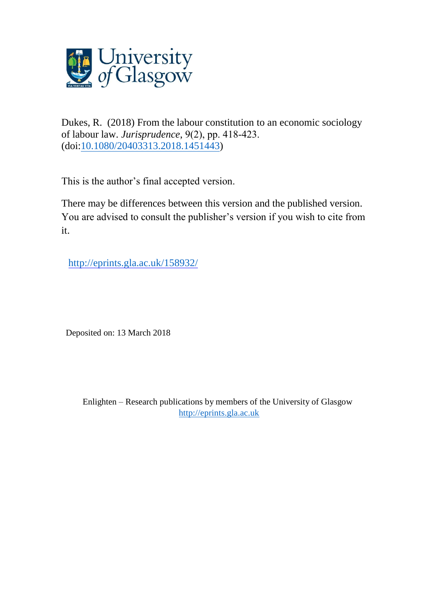

Dukes, R. (2018) From the labour constitution to an economic sociology of labour law. *Jurisprudence*, 9(2), pp. 418-423. (doi[:10.1080/20403313.2018.1451443\)](http://dx.doi.org/10.1080/20403313.2018.1451443)

This is the author's final accepted version.

There may be differences between this version and the published version. You are advised to consult the publisher's version if you wish to cite from it.

<http://eprints.gla.ac.uk/158932/>

Deposited on: 13 March 2018

Enlighten – Research publications by members of the University of Glasgow [http://eprints.gla.ac.uk](http://eprints.gla.ac.uk/)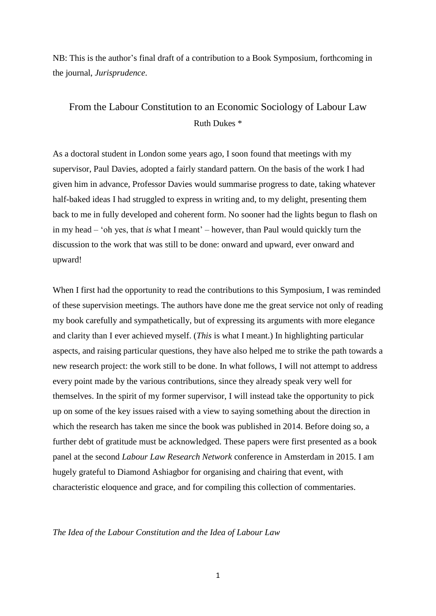NB: This is the author's final draft of a contribution to a Book Symposium, forthcoming in the journal, *Jurisprudence*.

## From the Labour Constitution to an Economic Sociology of Labour Law Ruth Dukes \*

As a doctoral student in London some years ago, I soon found that meetings with my supervisor, Paul Davies, adopted a fairly standard pattern. On the basis of the work I had given him in advance, Professor Davies would summarise progress to date, taking whatever half-baked ideas I had struggled to express in writing and, to my delight, presenting them back to me in fully developed and coherent form. No sooner had the lights begun to flash on in my head – 'oh yes, that *is* what I meant' – however, than Paul would quickly turn the discussion to the work that was still to be done: onward and upward, ever onward and upward!

When I first had the opportunity to read the contributions to this Symposium, I was reminded of these supervision meetings. The authors have done me the great service not only of reading my book carefully and sympathetically, but of expressing its arguments with more elegance and clarity than I ever achieved myself. (*This* is what I meant.) In highlighting particular aspects, and raising particular questions, they have also helped me to strike the path towards a new research project: the work still to be done. In what follows, I will not attempt to address every point made by the various contributions, since they already speak very well for themselves. In the spirit of my former supervisor, I will instead take the opportunity to pick up on some of the key issues raised with a view to saying something about the direction in which the research has taken me since the book was published in 2014. Before doing so, a further debt of gratitude must be acknowledged. These papers were first presented as a book panel at the second *Labour Law Research Network* conference in Amsterdam in 2015. I am hugely grateful to Diamond Ashiagbor for organising and chairing that event, with characteristic eloquence and grace, and for compiling this collection of commentaries.

## *The Idea of the Labour Constitution and the Idea of Labour Law*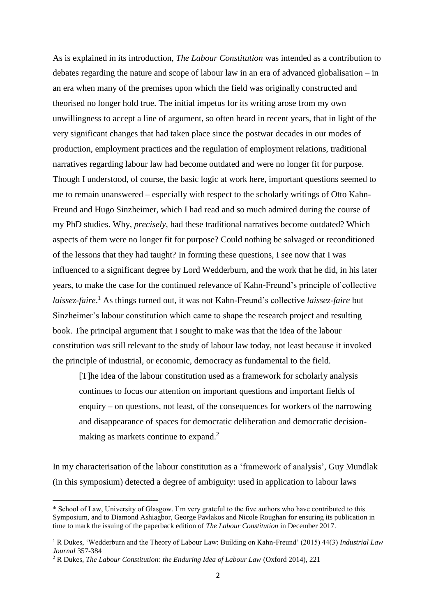As is explained in its introduction, *The Labour Constitution* was intended as a contribution to debates regarding the nature and scope of labour law in an era of advanced globalisation – in an era when many of the premises upon which the field was originally constructed and theorised no longer hold true. The initial impetus for its writing arose from my own unwillingness to accept a line of argument, so often heard in recent years, that in light of the very significant changes that had taken place since the postwar decades in our modes of production, employment practices and the regulation of employment relations, traditional narratives regarding labour law had become outdated and were no longer fit for purpose. Though I understood, of course, the basic logic at work here, important questions seemed to me to remain unanswered – especially with respect to the scholarly writings of Otto Kahn-Freund and Hugo Sinzheimer, which I had read and so much admired during the course of my PhD studies. Why, *precisely*, had these traditional narratives become outdated? Which aspects of them were no longer fit for purpose? Could nothing be salvaged or reconditioned of the lessons that they had taught? In forming these questions, I see now that I was influenced to a significant degree by Lord Wedderburn, and the work that he did, in his later years, to make the case for the continued relevance of Kahn-Freund's principle of collective *laissez-faire*. <sup>1</sup> As things turned out, it was not Kahn-Freund's collective *laissez-faire* but Sinzheimer's labour constitution which came to shape the research project and resulting book. The principal argument that I sought to make was that the idea of the labour constitution *was* still relevant to the study of labour law today, not least because it invoked the principle of industrial, or economic, democracy as fundamental to the field.

[T]he idea of the labour constitution used as a framework for scholarly analysis continues to focus our attention on important questions and important fields of enquiry – on questions, not least, of the consequences for workers of the narrowing and disappearance of spaces for democratic deliberation and democratic decisionmaking as markets continue to expand.<sup>2</sup>

In my characterisation of the labour constitution as a 'framework of analysis', Guy Mundlak (in this symposium) detected a degree of ambiguity: used in application to labour laws

<sup>\*</sup> School of Law, University of Glasgow. I'm very grateful to the five authors who have contributed to this Symposium, and to Diamond Ashiagbor, George Pavlakos and Nicole Roughan for ensuring its publication in time to mark the issuing of the paperback edition of *The Labour Constitution* in December 2017.

<sup>1</sup> R Dukes, 'Wedderburn and the Theory of Labour Law: Building on Kahn-Freund' (2015) 44(3) *Industrial Law Journal* 357-384

<sup>2</sup> R Dukes, *The Labour Constitution: the Enduring Idea of Labour Law* (Oxford 2014), 221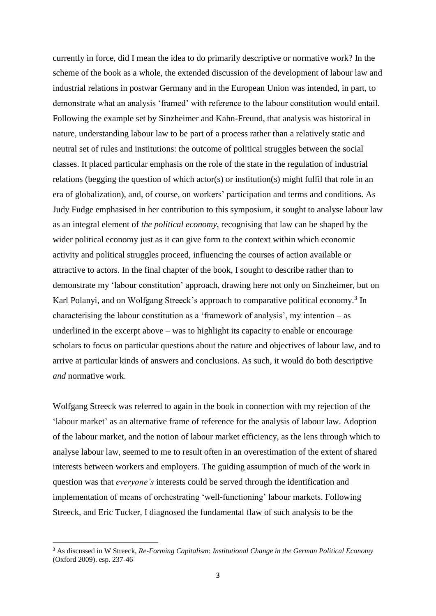currently in force, did I mean the idea to do primarily descriptive or normative work? In the scheme of the book as a whole, the extended discussion of the development of labour law and industrial relations in postwar Germany and in the European Union was intended, in part, to demonstrate what an analysis 'framed' with reference to the labour constitution would entail. Following the example set by Sinzheimer and Kahn-Freund, that analysis was historical in nature, understanding labour law to be part of a process rather than a relatively static and neutral set of rules and institutions: the outcome of political struggles between the social classes. It placed particular emphasis on the role of the state in the regulation of industrial relations (begging the question of which actor(s) or institution(s) might fulfil that role in an era of globalization), and, of course, on workers' participation and terms and conditions. As Judy Fudge emphasised in her contribution to this symposium, it sought to analyse labour law as an integral element of *the political economy*, recognising that law can be shaped by the wider political economy just as it can give form to the context within which economic activity and political struggles proceed, influencing the courses of action available or attractive to actors. In the final chapter of the book, I sought to describe rather than to demonstrate my 'labour constitution' approach, drawing here not only on Sinzheimer, but on Karl Polanyi, and on Wolfgang Streeck's approach to comparative political economy.<sup>3</sup> In characterising the labour constitution as a 'framework of analysis', my intention – as underlined in the excerpt above – was to highlight its capacity to enable or encourage scholars to focus on particular questions about the nature and objectives of labour law, and to arrive at particular kinds of answers and conclusions. As such, it would do both descriptive *and* normative work.

Wolfgang Streeck was referred to again in the book in connection with my rejection of the 'labour market' as an alternative frame of reference for the analysis of labour law. Adoption of the labour market, and the notion of labour market efficiency, as the lens through which to analyse labour law, seemed to me to result often in an overestimation of the extent of shared interests between workers and employers. The guiding assumption of much of the work in question was that *everyone's* interests could be served through the identification and implementation of means of orchestrating 'well-functioning' labour markets. Following Streeck, and Eric Tucker, I diagnosed the fundamental flaw of such analysis to be the

1

<sup>3</sup> As discussed in W Streeck, *Re-Forming Capitalism: Institutional Change in the German Political Economy* (Oxford 2009). esp. 237-46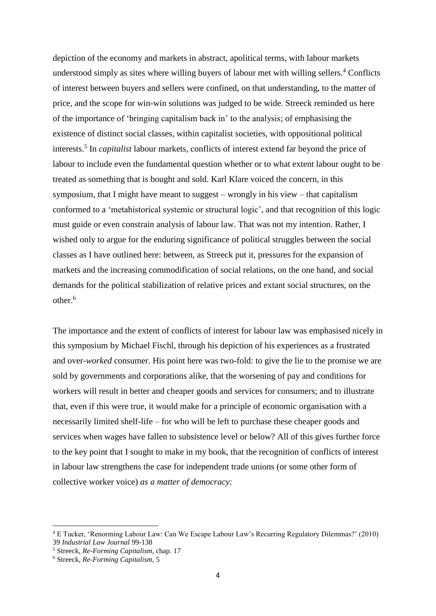depiction of the economy and markets in abstract, apolitical terms, with labour markets understood simply as sites where willing buyers of labour met with willing sellers.<sup>4</sup> Conflicts of interest between buyers and sellers were confined, on that understanding, to the matter of price, and the scope for win-win solutions was judged to be wide. Streeck reminded us here of the importance of 'bringing capitalism back in' to the analysis; of emphasising the existence of distinct social classes, within capitalist societies, with oppositional political interests. 5 In *capitalist* labour markets, conflicts of interest extend far beyond the price of labour to include even the fundamental question whether or to what extent labour ought to be treated as something that is bought and sold. Karl Klare voiced the concern, in this symposium, that I might have meant to suggest – wrongly in his view – that capitalism conformed to a 'metahistorical systemic or structural logic', and that recognition of this logic must guide or even constrain analysis of labour law. That was not my intention. Rather, I wished only to argue for the enduring significance of political struggles between the social classes as I have outlined here: between, as Streeck put it, pressures for the expansion of markets and the increasing commodification of social relations, on the one hand, and social demands for the political stabilization of relative prices and extant social structures, on the other.<sup>6</sup>

The importance and the extent of conflicts of interest for labour law was emphasised nicely in this symposium by Michael Fischl, through his depiction of his experiences as a frustrated and over-*worked* consumer. His point here was two-fold: to give the lie to the promise we are sold by governments and corporations alike, that the worsening of pay and conditions for workers will result in better and cheaper goods and services for consumers; and to illustrate that, even if this were true, it would make for a principle of economic organisation with a necessarily limited shelf-life – for who will be left to purchase these cheaper goods and services when wages have fallen to subsistence level or below? All of this gives further force to the key point that I sought to make in my book, that the recognition of conflicts of interest in labour law strengthens the case for independent trade unions (or some other form of collective worker voice) *as a matter of democracy*:

<sup>4</sup> E Tucker, 'Renorming Labour Law: Can We Escape Labour Law's Recurring Regulatory Dilemmas?' (2010) 39 *Industrial Law Journal* 99-138

<sup>5</sup> Streeck, *Re-Forming Capitalism*, chap. 17

<sup>6</sup> Streeck, *Re-Forming Capitalism*, 5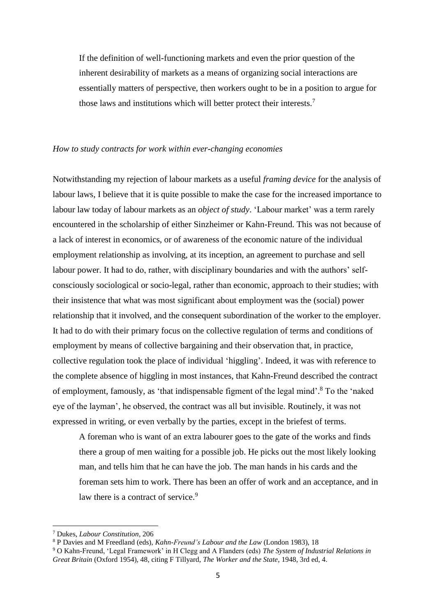If the definition of well-functioning markets and even the prior question of the inherent desirability of markets as a means of organizing social interactions are essentially matters of perspective, then workers ought to be in a position to argue for those laws and institutions which will better protect their interests.<sup>7</sup>

## *How to study contracts for work within ever-changing economies*

Notwithstanding my rejection of labour markets as a useful *framing device* for the analysis of labour laws, I believe that it is quite possible to make the case for the increased importance to labour law today of labour markets as an *object of study*. 'Labour market' was a term rarely encountered in the scholarship of either Sinzheimer or Kahn-Freund. This was not because of a lack of interest in economics, or of awareness of the economic nature of the individual employment relationship as involving, at its inception, an agreement to purchase and sell labour power. It had to do, rather, with disciplinary boundaries and with the authors' selfconsciously sociological or socio-legal, rather than economic, approach to their studies; with their insistence that what was most significant about employment was the (social) power relationship that it involved, and the consequent subordination of the worker to the employer. It had to do with their primary focus on the collective regulation of terms and conditions of employment by means of collective bargaining and their observation that, in practice, collective regulation took the place of individual 'higgling'. Indeed, it was with reference to the complete absence of higgling in most instances, that Kahn-Freund described the contract of employment, famously, as 'that indispensable figment of the legal mind'. <sup>8</sup> To the 'naked eye of the layman', he observed, the contract was all but invisible. Routinely, it was not expressed in writing, or even verbally by the parties, except in the briefest of terms.

A foreman who is want of an extra labourer goes to the gate of the works and finds there a group of men waiting for a possible job. He picks out the most likely looking man, and tells him that he can have the job. The man hands in his cards and the foreman sets him to work. There has been an offer of work and an acceptance, and in law there is a contract of service.<sup>9</sup>

<sup>7</sup> Dukes, *Labour Constitution*, 206

<sup>8</sup> P Davies and M Freedland (eds), *Kahn-Freund's Labour and the Law* (London 1983), 18

<sup>9</sup> O Kahn-Freund, 'Legal Framework' in H Clegg and A Flanders (eds) *The System of Industrial Relations in Great Britain* (Oxford 1954), 48, citing F Tillyard, *The Worker and the State*, 1948, 3rd ed, 4.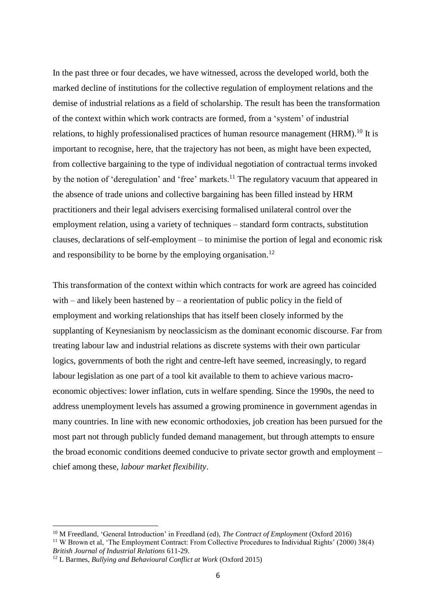In the past three or four decades, we have witnessed, across the developed world, both the marked decline of institutions for the collective regulation of employment relations and the demise of industrial relations as a field of scholarship. The result has been the transformation of the context within which work contracts are formed, from a 'system' of industrial relations, to highly professionalised practices of human resource management (HRM).<sup>10</sup> It is important to recognise, here, that the trajectory has not been, as might have been expected, from collective bargaining to the type of individual negotiation of contractual terms invoked by the notion of 'deregulation' and 'free' markets.<sup>11</sup> The regulatory vacuum that appeared in the absence of trade unions and collective bargaining has been filled instead by HRM practitioners and their legal advisers exercising formalised unilateral control over the employment relation, using a variety of techniques – standard form contracts, substitution clauses, declarations of self-employment – to minimise the portion of legal and economic risk and responsibility to be borne by the employing organisation.<sup>12</sup>

This transformation of the context within which contracts for work are agreed has coincided with – and likely been hastened by – a reorientation of public policy in the field of employment and working relationships that has itself been closely informed by the supplanting of Keynesianism by neoclassicism as the dominant economic discourse. Far from treating labour law and industrial relations as discrete systems with their own particular logics, governments of both the right and centre-left have seemed, increasingly, to regard labour legislation as one part of a tool kit available to them to achieve various macroeconomic objectives: lower inflation, cuts in welfare spending. Since the 1990s, the need to address unemployment levels has assumed a growing prominence in government agendas in many countries. In line with new economic orthodoxies, job creation has been pursued for the most part not through publicly funded demand management, but through attempts to ensure the broad economic conditions deemed conducive to private sector growth and employment – chief among these, *labour market flexibility*.

<sup>10</sup> M Freedland, 'General Introduction' in Freedland (ed), *The Contract of Employment* (Oxford 2016)

<sup>11</sup> W Brown et al, 'The Employment Contract: From Collective Procedures to Individual Rights' (2000) 38(4) *British Journal of Industrial Relations* 611-29.

<sup>12</sup> L Barmes, *Bullying and Behavioural Conflict at Work* (Oxford 2015)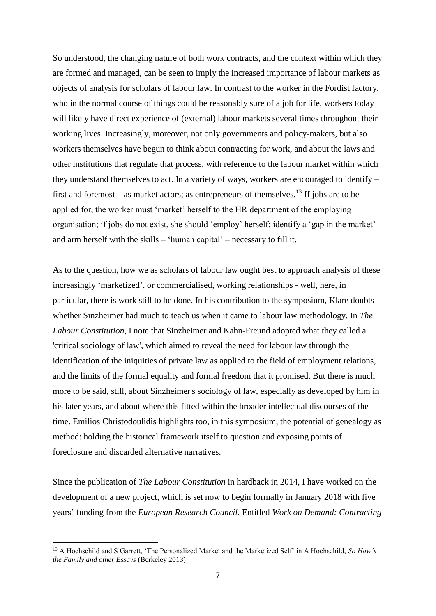So understood, the changing nature of both work contracts, and the context within which they are formed and managed, can be seen to imply the increased importance of labour markets as objects of analysis for scholars of labour law. In contrast to the worker in the Fordist factory, who in the normal course of things could be reasonably sure of a job for life, workers today will likely have direct experience of (external) labour markets several times throughout their working lives. Increasingly, moreover, not only governments and policy-makers, but also workers themselves have begun to think about contracting for work, and about the laws and other institutions that regulate that process, with reference to the labour market within which they understand themselves to act. In a variety of ways, workers are encouraged to identify – first and foremost – as market actors; as entrepreneurs of themselves.<sup>13</sup> If jobs are to be applied for, the worker must 'market' herself to the HR department of the employing organisation; if jobs do not exist, she should 'employ' herself: identify a 'gap in the market' and arm herself with the skills – 'human capital' – necessary to fill it.

As to the question, how we as scholars of labour law ought best to approach analysis of these increasingly 'marketized', or commercialised, working relationships - well, here, in particular, there is work still to be done. In his contribution to the symposium, Klare doubts whether Sinzheimer had much to teach us when it came to labour law methodology. In *The Labour Constitution*, I note that Sinzheimer and Kahn-Freund adopted what they called a 'critical sociology of law', which aimed to reveal the need for labour law through the identification of the iniquities of private law as applied to the field of employment relations, and the limits of the formal equality and formal freedom that it promised. But there is much more to be said, still, about Sinzheimer's sociology of law, especially as developed by him in his later years, and about where this fitted within the broader intellectual discourses of the time. Emilios Christodoulidis highlights too, in this symposium, the potential of genealogy as method: holding the historical framework itself to question and exposing points of foreclosure and discarded alternative narratives.

Since the publication of *The Labour Constitution* in hardback in 2014, I have worked on the development of a new project, which is set now to begin formally in January 2018 with five years' funding from the *European Research Council*. Entitled *Work on Demand: Contracting* 

1

<sup>13</sup> A Hochschild and S Garrett, 'The Personalized Market and the Marketized Self' in A Hochschild, *So How's the Family and other Essays* (Berkeley 2013)